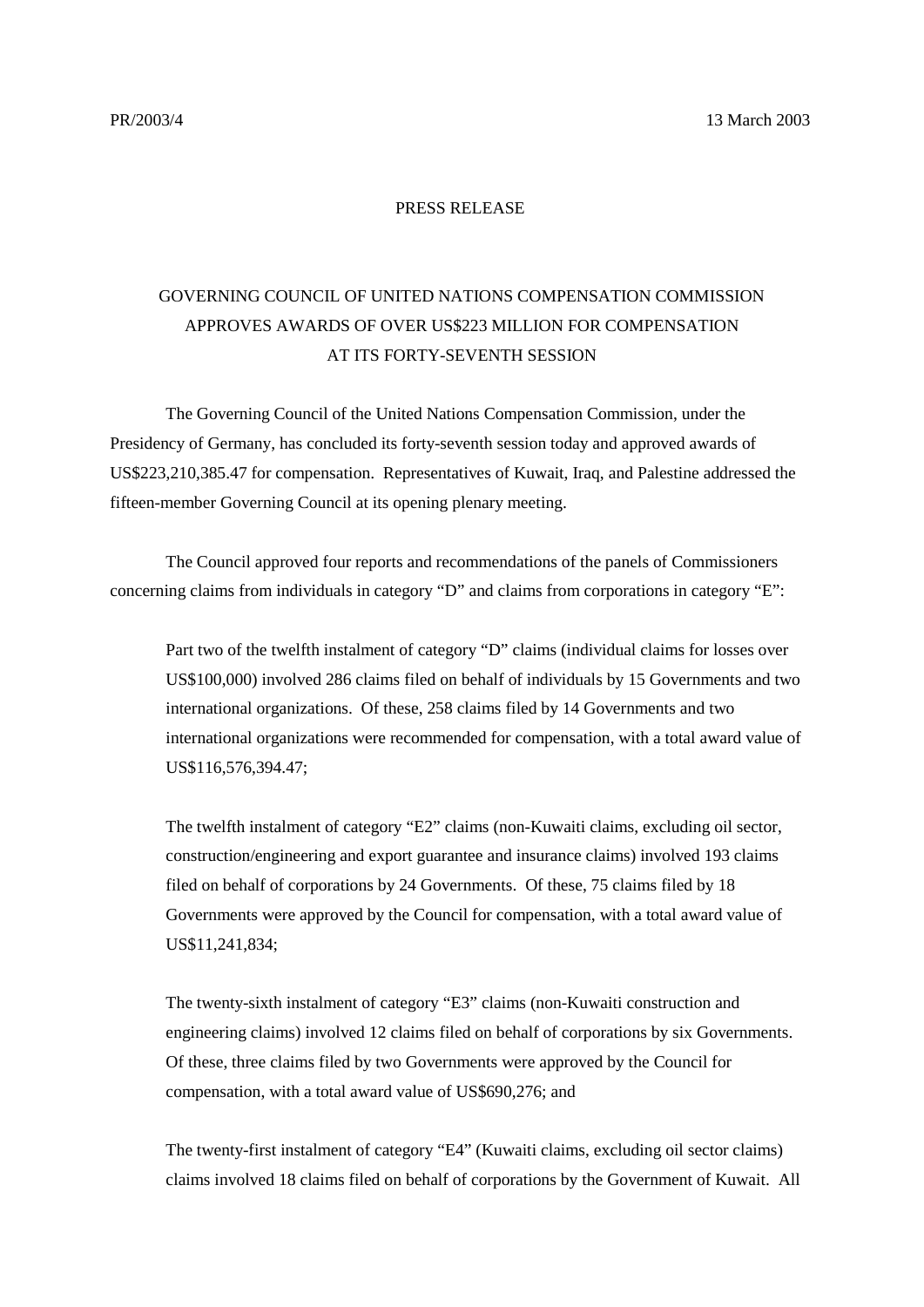## PRESS RELEASE

## GOVERNING COUNCIL OF UNITED NATIONS COMPENSATION COMMISSION APPROVES AWARDS OF OVER US\$223 MILLION FOR COMPENSATION AT ITS FORTY-SEVENTH SESSION

The Governing Council of the United Nations Compensation Commission, under the Presidency of Germany, has concluded its forty-seventh session today and approved awards of US\$223,210,385.47 for compensation. Representatives of Kuwait, Iraq, and Palestine addressed the fifteen-member Governing Council at its opening plenary meeting.

The Council approved four reports and recommendations of the panels of Commissioners concerning claims from individuals in category "D" and claims from corporations in category "E":

Part two of the twelfth instalment of category "D" claims (individual claims for losses over US\$100,000) involved 286 claims filed on behalf of individuals by 15 Governments and two international organizations. Of these, 258 claims filed by 14 Governments and two international organizations were recommended for compensation, with a total award value of US\$116,576,394.47;

The twelfth instalment of category "E2" claims (non-Kuwaiti claims, excluding oil sector, construction/engineering and export guarantee and insurance claims) involved 193 claims filed on behalf of corporations by 24 Governments. Of these, 75 claims filed by 18 Governments were approved by the Council for compensation, with a total award value of US\$11,241,834;

The twenty-sixth instalment of category "E3" claims (non-Kuwaiti construction and engineering claims) involved 12 claims filed on behalf of corporations by six Governments. Of these, three claims filed by two Governments were approved by the Council for compensation, with a total award value of US\$690,276; and

The twenty-first instalment of category "E4" (Kuwaiti claims, excluding oil sector claims) claims involved 18 claims filed on behalf of corporations by the Government of Kuwait. All